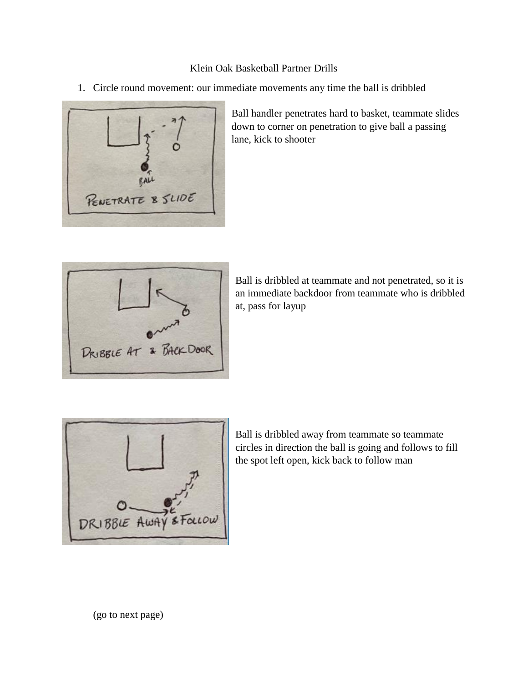## Klein Oak Basketball Partner Drills

1. Circle round movement: our immediate movements any time the ball is dribbled



Ball handler penetrates hard to basket, teammate slides down to corner on penetration to give ball a passing lane, kick to shooter



Ball is dribbled at teammate and not penetrated, so it is an immediate backdoor from teammate who is dribbled at, pass for layup



Ball is dribbled away from teammate so teammate circles in direction the ball is going and follows to fill the spot left open, kick back to follow man

(go to next page)